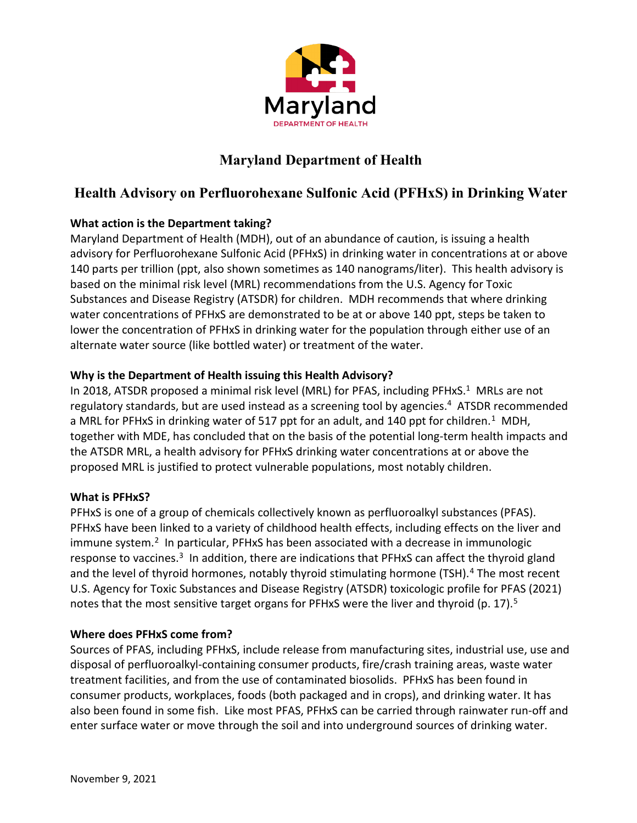

# **Maryland Department of Health**

# **Health Advisory on Perfluorohexane Sulfonic Acid (PFHxS) in Drinking Water**

## **What action is the Department taking?**

Maryland Department of Health (MDH), out of an abundance of caution, is issuing a health advisory for Perfluorohexane Sulfonic Acid (PFHxS) in drinking water in concentrations at or above 140 parts per trillion (ppt, also shown sometimes as 140 nanograms/liter). This health advisory is based on the minimal risk level (MRL) recommendations from the U.S. Agency for Toxic Substances and Disease Registry (ATSDR) for children. MDH recommends that where drinking water concentrations of PFHxS are demonstrated to be at or above 140 ppt, steps be taken to lower the concentration of PFHxS in drinking water for the population through either use of an alternate water source (like bottled water) or treatment of the water.

## **Why is the Department of Health issuing this Health Advisory?**

In 2018, ATSDR proposed a minimal risk level (MRL) for PFAS, including PFHxS.<sup>1</sup> MRLs are not regulatory standards, but are used instead as a screening tool by agencies.<sup>4</sup> ATSDR recommended a MRL for PFHxS in drinking water of 517 ppt for an adult, and 140 ppt for children.<sup>1</sup> MDH, together with MDE, has concluded that on the basis of the potential long-term health impacts and the ATSDR MRL, a health advisory for PFHxS drinking water concentrations at or above the proposed MRL is justified to protect vulnerable populations, most notably children.

## **What is PFHxS?**

PFHxS is one of a group of chemicals collectively known as perfluoroalkyl substances (PFAS). PFHxS have been linked to a variety of childhood health effects, including effects on the liver and  $immune system.<sup>2</sup>$  In particular, PFHxS has been associated with a decrease in immunologic response to vaccines.<sup>[3](#page-2-2)</sup> In addition, there are indications that PFHxS can affect the thyroid gland and the level of thyroid hormones, notably thyroid stimulating hormone (TSH). $4$  The most recent U.S. Agency for Toxic Substances and Disease Registry (ATSDR) toxicologic profile for PFAS (2021) notes that the most sensitive target organs for PFHxS were the liver and thyroid (p. 17).<sup>5</sup>

## **Where does PFHxS come from?**

Sources of PFAS, including PFHxS, include release from manufacturing sites, industrial use, use and disposal of perfluoroalkyl-containing consumer products, fire/crash training areas, waste water treatment facilities, and from the use of contaminated biosolids. PFHxS has been found in consumer products, workplaces, foods (both packaged and in crops), and drinking water. It has also been found in some fish. Like most PFAS, PFHxS can be carried through rainwater run-off and enter surface water or move through the soil and into underground sources of drinking water.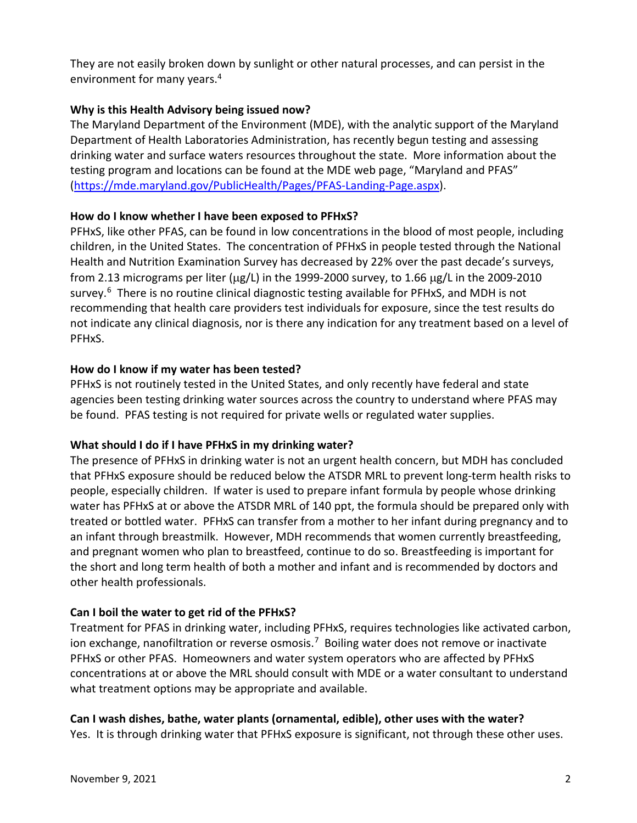They are not easily broken down by sunlight or other natural processes, and can persist in the environment for many years.4

### **Why is this Health Advisory being issued now?**

The Maryland Department of the Environment (MDE), with the analytic support of the Maryland Department of Health Laboratories Administration, has recently begun testing and assessing drinking water and surface waters resources throughout the state. More information about the testing program and locations can be found at the MDE web page, "Maryland and PFAS" [\(https://mde.maryland.gov/PublicHealth/Pages/PFAS-Landing-Page.aspx\)](https://mde.maryland.gov/PublicHealth/Pages/PFAS-Landing-Page.aspx).

#### **How do I know whether I have been exposed to PFHxS?**

PFHxS, like other PFAS, can be found in low concentrations in the blood of most people, including children, in the United States. The concentration of PFHxS in people tested through the National Health and Nutrition Examination Survey has decreased by 22% over the past decade's surveys, from 2.13 micrograms per liter ( $\mu$ g/L) in the 1999-2000 survey, to 1.66  $\mu$ g/L in the 2009-2010 survey.<sup>[6](#page-2-5)</sup> There is no routine clinical diagnostic testing available for PFHxS, and MDH is not recommending that health care providers test individuals for exposure, since the test results do not indicate any clinical diagnosis, nor is there any indication for any treatment based on a level of PFHxS.

#### **How do I know if my water has been tested?**

PFHxS is not routinely tested in the United States, and only recently have federal and state agencies been testing drinking water sources across the country to understand where PFAS may be found. PFAS testing is not required for private wells or regulated water supplies.

## **What should I do if I have PFHxS in my drinking water?**

The presence of PFHxS in drinking water is not an urgent health concern, but MDH has concluded that PFHxS exposure should be reduced below the ATSDR MRL to prevent long-term health risks to people, especially children. If water is used to prepare infant formula by people whose drinking water has PFHxS at or above the ATSDR MRL of 140 ppt, the formula should be prepared only with treated or bottled water. PFHxS can transfer from a mother to her infant during pregnancy and to an infant through breastmilk. However, MDH recommends that women currently breastfeeding, and pregnant women who plan to breastfeed, continue to do so. Breastfeeding is important for the short and long term health of both a mother and infant and is recommended by doctors and other health professionals.

#### **Can I boil the water to get rid of the PFHxS?**

Treatment for PFAS in drinking water, including PFHxS, requires technologies like activated carbon, ion exchange, nanofiltration or reverse osmosis.<sup>7</sup> Boiling water does not remove or inactivate PFHxS or other PFAS. Homeowners and water system operators who are affected by PFHxS concentrations at or above the MRL should consult with MDE or a water consultant to understand what treatment options may be appropriate and available.

## **Can I wash dishes, bathe, water plants (ornamental, edible), other uses with the water?**

Yes. It is through drinking water that PFHxS exposure is significant, not through these other uses.